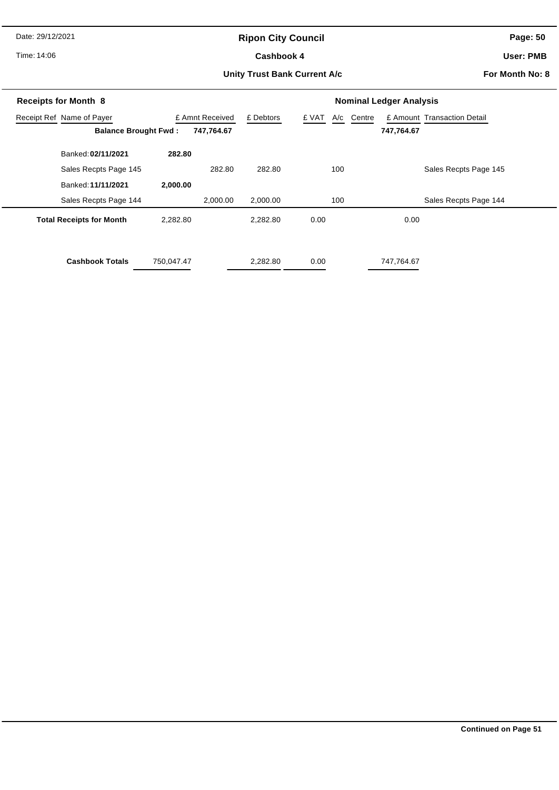Date: 29/12/2021

# **Ripon City Council**

Time: 14:06

#### Cashbook 4

**Page: 50**

**User: PMB**

#### **Unity Trust Bank Current A/c**

**For Month No: 8**

| <b>Receipts for Month 8</b>     |            | <b>Nominal Ledger Analysis</b> |           |                        |                             |  |  |
|---------------------------------|------------|--------------------------------|-----------|------------------------|-----------------------------|--|--|
| Receipt Ref Name of Payer       |            | £ Amnt Received                | £ Debtors | Centre<br>£ VAT<br>A/c | £ Amount Transaction Detail |  |  |
| <b>Balance Brought Fwd:</b>     |            | 747,764.67                     |           |                        | 747,764.67                  |  |  |
| Banked: 02/11/2021              | 282.80     |                                |           |                        |                             |  |  |
| Sales Recpts Page 145           |            | 282.80                         | 282.80    | 100                    | Sales Recpts Page 145       |  |  |
| Banked: 11/11/2021              | 2,000.00   |                                |           |                        |                             |  |  |
| Sales Recpts Page 144           |            | 2,000.00                       | 2,000.00  | 100                    | Sales Recpts Page 144       |  |  |
| <b>Total Receipts for Month</b> | 2,282.80   |                                | 2,282.80  | 0.00                   | 0.00                        |  |  |
| <b>Cashbook Totals</b>          | 750,047.47 |                                | 2,282.80  | 0.00                   | 747,764.67                  |  |  |